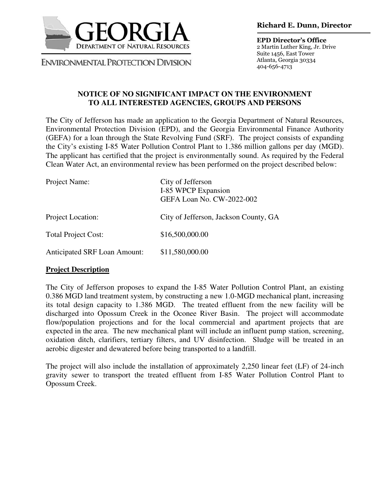

**ENVIRONMENTAL PROTECTION DIVISION** 

**EPD Director's Office** 2 Martin Luther King, Jr. Drive Suite 1456, East Tower Atlanta, Georgia 30334 404-656-4713

## **NOTICE OF NO SIGNIFICANT IMPACT ON THE ENVIRONMENT TO ALL INTERESTED AGENCIES, GROUPS AND PERSONS**

The City of Jefferson has made an application to the Georgia Department of Natural Resources, Environmental Protection Division (EPD), and the Georgia Environmental Finance Authority (GEFA) for a loan through the State Revolving Fund (SRF). The project consists of expanding the City's existing I-85 Water Pollution Control Plant to 1.386 million gallons per day (MGD). The applicant has certified that the project is environmentally sound. As required by the Federal Clean Water Act, an environmental review has been performed on the project described below:

| Project Name:                       | City of Jefferson<br>I-85 WPCP Expansion<br>GEFA Loan No. CW-2022-002 |
|-------------------------------------|-----------------------------------------------------------------------|
| Project Location:                   | City of Jefferson, Jackson County, GA                                 |
| <b>Total Project Cost:</b>          | \$16,500,000.00                                                       |
| <b>Anticipated SRF Loan Amount:</b> | \$11,580,000.00                                                       |

## **Project Description**

The City of Jefferson proposes to expand the I-85 Water Pollution Control Plant, an existing 0.386 MGD land treatment system, by constructing a new 1.0-MGD mechanical plant, increasing its total design capacity to 1.386 MGD. The treated effluent from the new facility will be discharged into Opossum Creek in the Oconee River Basin. The project will accommodate flow/population projections and for the local commercial and apartment projects that are expected in the area. The new mechanical plant will include an influent pump station, screening, oxidation ditch, clarifiers, tertiary filters, and UV disinfection. Sludge will be treated in an aerobic digester and dewatered before being transported to a landfill.

The project will also include the installation of approximately 2,250 linear feet (LF) of 24-inch gravity sewer to transport the treated effluent from I-85 Water Pollution Control Plant to Opossum Creek.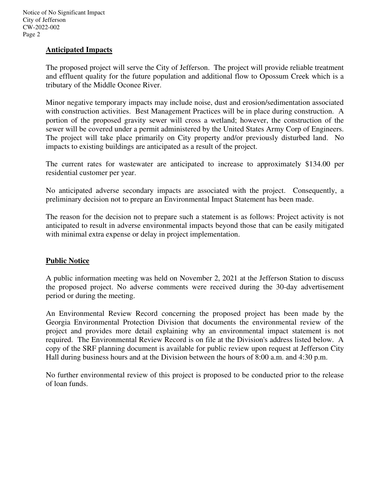## **Anticipated Impacts**

The proposed project will serve the City of Jefferson. The project will provide reliable treatment and effluent quality for the future population and additional flow to Opossum Creek which is a tributary of the Middle Oconee River.

Minor negative temporary impacts may include noise, dust and erosion/sedimentation associated with construction activities. Best Management Practices will be in place during construction. A portion of the proposed gravity sewer will cross a wetland; however, the construction of the sewer will be covered under a permit administered by the United States Army Corp of Engineers. The project will take place primarily on City property and/or previously disturbed land. No impacts to existing buildings are anticipated as a result of the project.

The current rates for wastewater are anticipated to increase to approximately \$134.00 per residential customer per year.

No anticipated adverse secondary impacts are associated with the project. Consequently, a preliminary decision not to prepare an Environmental Impact Statement has been made.

The reason for the decision not to prepare such a statement is as follows: Project activity is not anticipated to result in adverse environmental impacts beyond those that can be easily mitigated with minimal extra expense or delay in project implementation.

## **Public Notice**

A public information meeting was held on November 2, 2021 at the Jefferson Station to discuss the proposed project. No adverse comments were received during the 30-day advertisement period or during the meeting.

An Environmental Review Record concerning the proposed project has been made by the Georgia Environmental Protection Division that documents the environmental review of the project and provides more detail explaining why an environmental impact statement is not required. The Environmental Review Record is on file at the Division's address listed below. A copy of the SRF planning document is available for public review upon request at Jefferson City Hall during business hours and at the Division between the hours of 8:00 a.m. and 4:30 p.m.

No further environmental review of this project is proposed to be conducted prior to the release of loan funds.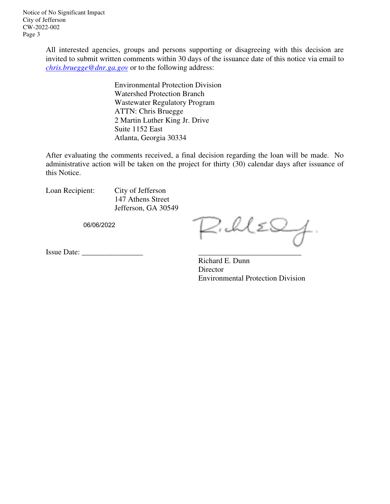All interested agencies, groups and persons supporting or disagreeing with this decision are invited to submit written comments within 30 days of the issuance date of this notice via email to *chris.bruegge@dnr.ga.gov* or to the following address:

> Environmental Protection Division Watershed Protection Branch Wastewater Regulatory Program ATTN: Chris Bruegge 2 Martin Luther King Jr. Drive Suite 1152 East Atlanta, Georgia 30334

After evaluating the comments received, a final decision regarding the loan will be made. No administrative action will be taken on the project for thirty (30) calendar days after issuance of this Notice.

Loan Recipient: City of Jefferson 147 Athens Street Jefferson, GA 30549

06/06/2022

 $\triangle$ . Il ES

Issue Date: \_\_\_\_\_\_\_\_\_\_\_\_\_\_\_\_ \_\_\_\_\_\_\_\_\_\_\_\_\_\_\_\_\_\_\_\_\_\_\_\_\_\_\_

Richard E. Dunn Director Environmental Protection Division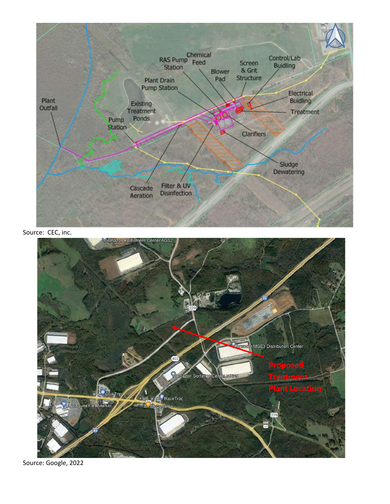

Source: CEC, inc.



Source: Google, 2022